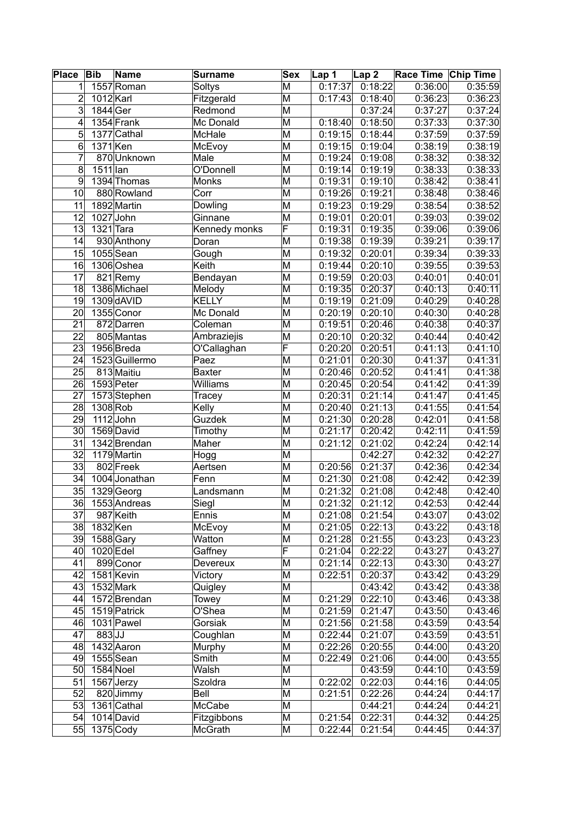| <b>Place</b>    | Bib         | Name           | <b>Surname</b> | <b>Sex</b>              | Lap 1                | $\lfloor$ Lap 2 | Race Time Chip Time   |         |
|-----------------|-------------|----------------|----------------|-------------------------|----------------------|-----------------|-----------------------|---------|
| 1               |             | 1557 Roman     | Soltys         | M                       | 0:17:37              | 0:18:22         | 0:36:00               | 0:35:59 |
| 2               | 1012 Karl   |                | Fitzgerald     | M                       | 0:17:43              | 0:18:40         | 0:36:23               | 0:36:23 |
| 3               | 1844 Ger    |                | Redmond        | M                       |                      | 0:37:24         | 0:37:27               | 0:37:24 |
| 4               |             | 1354 Frank     | Mc Donald      | M                       | 0:18:40              | 0:18:50         | 0:37:33               | 0:37:30 |
| 5               |             | 1377 Cathal    | McHale         | M                       | 0:19:15              | 0:18:44         | 0:37:59               | 0:37:59 |
| 6               | $1371$ Ken  |                | McEvoy         | M                       | 0:19:15              | 0:19:04         | 0:38:19               | 0:38:19 |
| 7               |             | 870Unknown     | Male           | M                       | 0:19:24              | 0:19:08         | 0:38:32               | 0:38:32 |
| 8               | 1511 lan    |                | O'Donnell      | $\overline{\mathsf{M}}$ | 0:19:14              | 0:19:19         | 0:38:33               | 0:38:33 |
| 9               |             | 1394 Thomas    | Monks          | M                       | $\overline{0:}19:31$ | 0:19:10         | 0:38:42               | 0:38:41 |
| 10              |             | 880 Rowland    | Corr           | M                       | 0:19:26              | 0:19:21         | 0:38:48               | 0:38:46 |
| 11              |             | 1892 Martin    | Dowling        | M                       | 0:19:23              | 0:19:29         | 0:38:54               | 0:38:52 |
| $1\overline{2}$ | 1027 John   |                | Ginnane        | M                       | 0:19:01              | 0:20:01         | 0:39:03               | 0:39:02 |
| 13              | 1321 Tara   |                | Kennedy monks  | F                       | 0:19:31              | 0:19:35         | 0:39:06               | 0:39:06 |
| 14              |             | 930 Anthony    | Doran          | M                       | 0:19:38              | 0:19:39         | 0:39:21               | 0:39:17 |
| 15              |             | $1055$ Sean    | Gough          | M                       | 0:19:32              | 0:20:01         | 0:39:34               | 0:39:33 |
| 16              |             | 1306 Oshea     | Keith          | M                       | 0:19:44              | 0:20:10         | 0:39:55               | 0:39:53 |
| 17              |             | 821 Remy       | Bendayan       | M                       | 0:19:59              | 0:20:03         | 0:40:01               | 0:40:01 |
| $\overline{18}$ |             | 1386 Michael   | Melody         | $\overline{\mathsf{M}}$ | 0:19:35              | 0:20:37         | 0:40:13               | 0:40:11 |
| $\overline{19}$ |             | 1309 dAVID     | KELLY          | M                       | 0:19:19              | 0:21:09         | 0:40:29               | 0:40:28 |
| 20              |             | 1355 Conor     | Mc Donald      | M                       | 0:20:19              | 0:20:10         | 0:40:30               | 0:40:28 |
| 21              |             | 872 Darren     | Coleman        | M                       | 0:19:51              | 0:20:46         | 0:40:38               | 0:40:37 |
| 22              |             | 805 Mantas     | Ambraziejis    | M                       | 0:20:10              | 0:20:32         | 0:40:44               | 0:40:42 |
| 23              |             | 1956 Breda     | O'Callaghan    | F                       | 0:20:20              | 0:20:51         | 0:41:13               | 0:41:10 |
| 24              |             | 1523 Guillermo | Paez           | M                       | 0:21:01              | 0:20:30         | 0:41:37               | 0:41:31 |
| 25              |             | 813 Maitiu     | <b>Baxter</b>  | M                       | 0:20:46              | 0:20:52         | 0:41:41               | 0:41:38 |
| 26              | 1593 Peter  |                | Williams       | M                       | 0:20:45              | 0:20:54         | 0:41:42               | 0:41:39 |
| 27              |             | 1573 Stephen   | Tracey         | M                       | 0:20:31              | 0:21:14         | 0:41:47               | 0:41:45 |
| 28              | 1308 Rob    |                | Kelly          | $\overline{\mathsf{M}}$ | 0:20:40              | 0:21:13         | 0:41:55               | 0:41:54 |
| 29              |             | $1112$ John    | Guzdek         | M                       | 0:21:30              | 0:20:28         | 0:42:01               | 0:41:58 |
| 30              |             | 1569 David     | Timothy        | M                       | 0:21:17              | 0:20:42         | 0:42:11               | 0:41:59 |
| 31              |             | 1342 Brendan   | Maher          | M                       | 0:21:12              | 0:21:02         | 0:42:24               | 0:42:14 |
| $\overline{32}$ |             | 1179 Martin    | <b>Hogg</b>    | M                       |                      | 0:42:27         | 0:42:32               | 0:42:27 |
| 33              |             | 802 Freek      | Aertsen        | M                       | 0:20:56              | 0:21:37         | $\overline{0}$ :42:36 | 0:42:34 |
| 34              |             | 1004 Jonathan  | Fenn           | M                       | 0:21:30              | 0:21:08         | 0:42:42               | 0:42:39 |
| 35              |             | 1329 Georg     | Landsmann      | M                       | 0:21:32              | 0:21:08         | 0:42:48               | 0:42:40 |
| 36              |             | 1553 Andreas   | Siegl          | M                       | 0:21:32              | 0:21:12         | 0:42:53               | 0:42:44 |
| 37              |             | 987 Keith      | Ennis          | M                       | 0:21:08              | 0:21:54         | 0:43:07               | 0:43:02 |
| $38$            | 1832 Ken    |                | McEvoy         | M                       | 0:21:05              | 0:22:13         | 0:43:22               | 0:43:18 |
| $39^{\circ}$    | 1588 Gary   |                | Watton         | M                       | 0:21:28              | 0:21:55         | 0:43:23               | 0:43:23 |
| 40              | 1020 Edel   |                | Gaffney        | F                       | 0:21:04              | 0:22:22         | 0:43:27               | 0:43:27 |
| 41              |             | 899 Conor      | Devereux       | M                       | 0:21:14              | 0:22:13         | 0:43:30               | 0:43:27 |
| 42              |             | $1581$ Kevin   | Victory        | M                       | 0:22:51              | 0:20:37         | 0:43:42               | 0:43:29 |
| 43              | 1532 Mark   |                | Quigley        | M                       |                      | 0:43:42         | 0:43:42               | 0:43:38 |
| 44              |             | 1572 Brendan   | Towey          | M                       | 0:21:29              | 0:22:10         | 0:43:46               | 0:43:38 |
| 45              |             | 1519 Patrick   | O'Shea         | M                       | 0:21:59              | 0:21:47         | 0:43:50               | 0:43:46 |
| 46              |             | 1031 Pawel     | Gorsiak        | M                       | 0:21:56              | 0:21:58         | 0:43:59               | 0:43:54 |
| 47              | $883$ JJ    |                | Coughlan       | M                       | 0:22:44              | 0:21:07         | 0:43:59               | 0:43:51 |
| 48              |             | 1432 Aaron     | Murphy         | M                       | 0:22:26              | 0:20:55         | 0:44:00               | 0:43:20 |
| 49              | $1555$ Sean |                | Smith          | M                       | 0:22:49              | 0:21:06         | 0:44:00               | 0:43:55 |
| 50 <sub>l</sub> | $1584$ Noel |                | Walsh          | M                       |                      | 0:43:59         | 0:44:10               | 0:43:59 |
| 51              |             | 1567 Jerzy     | Szoldra        | M                       | 0:22:02              | 0:22:03         | 0:44:16               | 0:44:05 |
| 52              |             | 820 Jimmy      | Bell           | M                       | 0:21:51              | 0:22:26         | 0:44:24               | 0:44:17 |
| 53              |             | 1361 Cathal    | McCabe         | M                       |                      | 0:44:21         | 0:44:24               | 0:44:21 |
| 54              | 1014 David  |                | Fitzgibbons    | M                       | 0:21:54              | 0:22:31         | 0:44:32               | 0:44:25 |
| 55              | $1375$ Cody |                | McGrath        | M                       | 0:22:44              | 0:21:54         | 0:44:45               | 0:44:37 |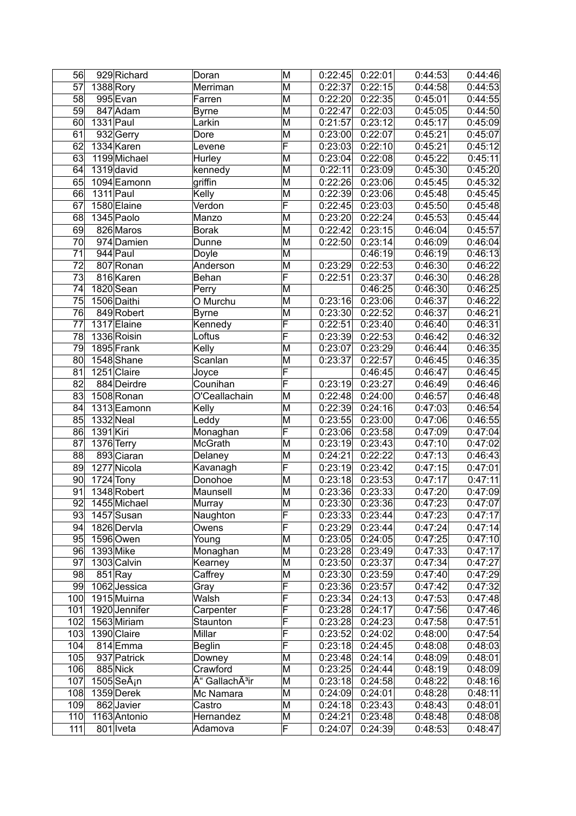| 56              | 929 Richard             | Doran                      | M                       | 0:22:45 | 0:22:01 | 0:44:53 | 0:44:46 |
|-----------------|-------------------------|----------------------------|-------------------------|---------|---------|---------|---------|
| 57              | 1388 Rory               | Merriman                   | $\overline{\mathsf{M}}$ | 0:22:37 | 0:22:15 | 0:44:58 | 0:44:53 |
| 58              | 995 Evan                | Farren                     | M                       | 0:22:20 | 0:22:35 | 0:45:01 | 0:44:55 |
| 59              | 847 Adam                | <b>Byrne</b>               | M                       | 0:22:47 | 0:22:03 | 0:45:05 | 0:44:50 |
| 60              | $1331$ Paul             | Larkin                     | $\overline{\mathsf{M}}$ | 0:21:57 | 0:23:12 | 0:45:17 | 0:45:09 |
| 61              | 932 Gerry               | Dore                       | M                       | 0:23:00 | 0:22:07 | 0:45:21 | 0:45:07 |
| 62              | 1334 Karen              | Levene                     | F                       | 0:23:03 | 0:22:10 | 0:45:21 | 0:45:12 |
| 63              | 1199 Michael            | Hurley                     | $\overline{\mathsf{M}}$ | 0:23:04 | 0:22:08 | 0:45:22 | 0:45:11 |
| 64              | $1319$ david            | kennedy                    | M                       | 0:22:11 | 0:23:09 | 0:45:30 | 0:45:20 |
| 65              | 1094 Eamonn             | griffin                    | M                       | 0:22:26 | 0:23:06 | 0:45:45 | 0:45:32 |
| 66              | $1311$ Paul             | Kelly                      | M                       | 0:22:39 | 0:23:06 | 0:45:48 | 0:45:45 |
| 67              | 1580 Elaine             | Verdon                     | F                       | 0:22:45 | 0:23:03 | 0:45:50 | 0:45:48 |
| 68              | 1345 Paolo              | Manzo                      | M                       | 0:23:20 | 0:22:24 | 0:45:53 | 0:45:44 |
| 69              | 826 Maros               | <b>Borak</b>               | M                       | 0:22:42 | 0:23:15 | 0:46:04 | 0:45:57 |
| 70              | 974 Damien              | Dunne                      | M                       | 0:22:50 | 0:23:14 | 0:46:09 | 0:46:04 |
| $\overline{71}$ | $944$ Paul              | Doyle                      | M                       |         | 0:46:19 | 0.46:19 | 0:46:13 |
| 72              | 807 Ronan               | Anderson                   | M                       | 0:23:29 | 0:22:53 | 0:46:30 | 0:46:22 |
| 73              | 816 Karen               | Behan                      | $\overline{\mathsf{F}}$ | 0:22:51 | 0:23:37 | 0:46:30 | 0:46:28 |
| $\overline{74}$ | 1820 Sean               | Perry                      | $\overline{\mathsf{M}}$ |         | 0:46:25 | 0:46:30 | 0:46:25 |
| 75              | 1506 Daithi             | O Murchu                   | M                       | 0:23:16 | 0:23:06 | 0:46:37 | 0:46:22 |
| 76              | 849 Robert              | <b>Byrne</b>               | M                       | 0:23:30 | 0:22:52 | 0:46:37 | 0:46:21 |
| 77              | 1317 Elaine             | Kennedy                    | F                       | 0:22:51 | 0:23:40 | 0:46:40 | 0:46:31 |
| 78              | 1336 Roisin             | Loftus                     | F                       | 0:23:39 | 0:22:53 | 0:46:42 | 0:46:32 |
| 79              | 1895 Frank              | Kelly                      | $\overline{\mathsf{M}}$ | 0:23:07 | 0:23:29 | 0:46:44 | 0:46:35 |
| 80              | 1548 Shane              | Scanlan                    | M                       | 0:23:37 | 0:22:57 | 0:46:45 | 0:46:35 |
| 81              | 1251 Claire             | Joyce                      | $\overline{\mathsf{F}}$ |         | 0:46:45 | 0:46:47 | 0:46:45 |
| 82              | 884 Deirdre             | Counihan                   | F                       | 0:23:19 | 0:23:27 | 0:46:49 | 0:46:46 |
| 83              | 1508 Ronan              | O'Ceallachain              | M                       | 0:22:48 | 0:24:00 | 0:46:57 | 0:46:48 |
| 84              | 1313 Eamonn             | Kelly                      | M                       | 0:22:39 | 0:24:16 | 0:47:03 | 0:46:54 |
| 85              | 1332 Neal               | Leddy                      | М                       | 0:23:55 | 0:23:00 | 0:47:06 | 0:46:55 |
| 86              | 1391 Kiri               | Monaghan                   | F                       | 0:23:06 | 0:23:58 | 0:47:09 | 0:47:04 |
| 87              | 1376 Terry              | McGrath                    | M                       | 0:23:19 | 0:23:43 | 0:47:10 | 0:47:02 |
| 88              | 893 Ciaran              | Delaney                    | M                       | 0:24:21 | 0:22:22 | 0:47:13 | 0:46:43 |
| 89              | 1277 Nicola             | Kavanagh                   | F                       | 0:23:19 | 0:23:42 | 0:47:15 | 0:47:01 |
| 90              | 1724 Tony               | Donohoe                    | M                       | 0:23:18 | 0:23:53 | 0:47:17 | 0:47:11 |
| 91              | 1348 Robert             | Maunsell                   | $\overline{\mathsf{M}}$ | 0:23:36 | 0:23:33 | 0:47:20 | 0:47:09 |
| $\overline{92}$ | 1455 Michael            | Murray                     | $\overline{\mathsf{M}}$ | 0:23:30 | 0:23:36 | 0:47:23 | 0:47:07 |
| 93              | 1457 Susan              | Naughton                   | F                       | 0:23:33 | 0:23:44 | 0:47:23 | 0:47:17 |
| 94              | 1826 Dervla             | Owens                      | F                       | 0:23:29 | 0:23:44 | 0:47:24 | 0:47:14 |
| 95              | 1596 Owen               | Young                      | M                       | 0:23:05 | 0:24:05 | 0:47:25 | 0:47:10 |
| 96              | 1393 Mike               | Monaghan                   | М                       | 0:23:28 | 0:23:49 | 0:47:33 | 0:47:17 |
| 97              | 1303 Calvin             | Kearney                    | М                       | 0:23:50 | 0:23:37 | 0:47:34 | 0:47:27 |
| 98              | $851$ Ray               | Caffrey                    | M                       | 0:23:30 | 0:23:59 | 0:47:40 | 0:47:29 |
| 99              | 1062 Jessica            | Gray                       | F                       | 0:23:36 | 0:23:57 | 0:47:42 | 0:47:32 |
| 100             | 1915 Muirna             | Walsh                      | F                       | 0:23:34 | 0:24:13 | 0:47:53 | 0:47:48 |
| 101             | 1920 Jennifer           | Carpenter                  | F                       | 0:23:28 | 0:24:17 | 0:47:56 | 0:47:46 |
| 102             | 1563 Miriam             | Staunton                   | F                       | 0:23:28 | 0:24:23 | 0:47:58 | 0:47:51 |
| 103             | 1390 Claire             | Millar                     | F                       | 0:23:52 | 0:24:02 | 0:48:00 | 0:47:54 |
| 104             | 814 Emma                | <b>Beglin</b>              | F                       | 0:23:18 | 0:24:45 | 0:48:08 | 0:48:03 |
| 105             | 937 Patrick             | Downey                     | $\overline{\mathsf{M}}$ | 0:23:48 | 0:24:14 | 0:48:09 | 0:48:01 |
| 106             | 885 Nick                | Crawford                   | $\overline{\mathsf{M}}$ | 0:23:25 | 0:24:44 | 0:48:19 | 0:48:09 |
| 107             | 1505 SeÃ <sub>i</sub> n | Ó GallachÃ <sup>3</sup> ir | М                       | 0:23:18 | 0:24:58 | 0:48:22 | 0:48:16 |
| 108             | 1359 Derek              | Mc Namara                  | М                       | 0:24:09 | 0:24:01 | 0:48:28 | 0:48:11 |
| 109             | 862 Javier              | Castro                     | М                       | 0:24:18 | 0:23:43 | 0:48:43 | 0:48:01 |
| 110             | 1163 Antonio            | Hernandez                  | М                       | 0:24:21 | 0:23:48 | 0:48:48 | 0:48:08 |
| 111             | 801 Iveta               | Adamova                    | F                       | 0:24:07 | 0:24:39 | 0:48:53 | 0:48:47 |
|                 |                         |                            |                         |         |         |         |         |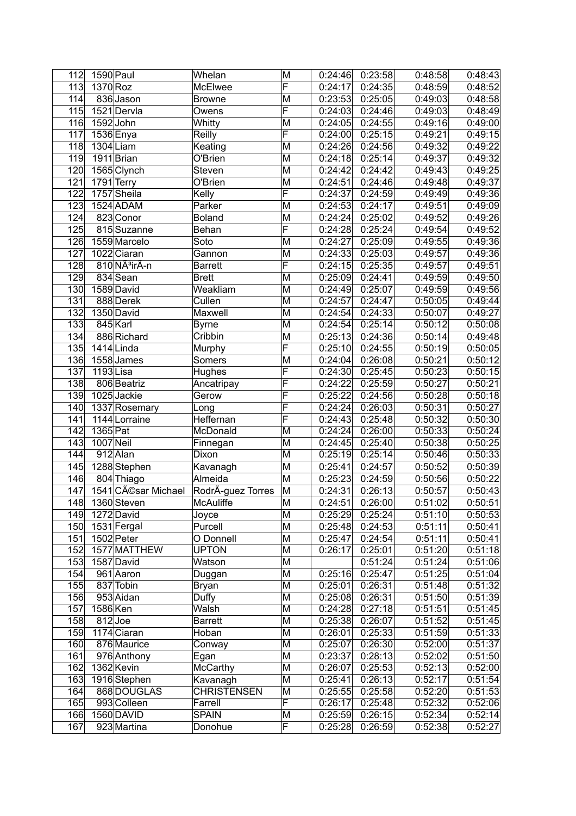| 112              | 1590 Paul      |                           | Whelan             | M                       | 0:24:46 | 0:23:58 | 0:48:58 | 0:48:43 |
|------------------|----------------|---------------------------|--------------------|-------------------------|---------|---------|---------|---------|
| 113              | 1370 Roz       |                           | McElwee            | $\overline{\mathsf{F}}$ | 0:24:17 | 0:24:35 | 0:48:59 | 0:48:52 |
| 114              |                | 836 Jason                 | <b>Browne</b>      | M                       | 0:23:53 | 0:25:05 | 0:49:03 | 0:48:58 |
| 115              |                | 1521 Dervla               | Owens              | F                       | 0:24:03 | 0:24:46 | 0:49:03 | 0:48:49 |
| 116              | $1592$ John    |                           | Whitty             | M                       | 0:24:05 | 0:24:55 | 0:49:16 | 0:49:00 |
| 117              | 1536 Enya      |                           | Reilly             | F                       | 0:24:00 | 0:25:15 | 0:49:21 | 0:49:15 |
| 118              | $1304$ Liam    |                           | Keating            | M                       | 0:24:26 | 0:24:56 | 0:49:32 | 0:49:22 |
| 119              |                | 1911 Brian                | O'Brien            | M                       | 0:24:18 | 0:25:14 | 0:49:37 | 0:49:32 |
| 120              |                | 1565 Clynch               | Steven             | M                       | 0:24:42 | 0:24:42 | 0:49:43 | 0:49:25 |
| 121              | 1791 Terry     |                           | O'Brien            | M                       | 0:24:51 | 0:24:46 | 0:49:48 | 0:49:37 |
| 122              |                | 1757 Sheila               | Kelly              | F                       | 0:24:37 | 0:24:59 | 0:49:49 | 0:49:36 |
| 123              |                | $1524$ ADAM               | Parker             | M                       | 0:24:53 | 0:24:17 | 0:49:51 | 0:49:09 |
| 124              |                | 823 Conor                 | <b>Boland</b>      | M                       | 0:24:24 | 0:25:02 | 0:49:52 | 0:49:26 |
| 125              |                | 815 Suzanne               | Behan              | F                       | 0:24:28 | 0:25:24 | 0:49:54 | 0:49:52 |
| 126              |                | 1559 Marcelo              | Soto               | M                       | 0:24:27 | 0:25:09 | 0:49:55 | 0:49:36 |
| 127              |                | 1022 Ciaran               | Gannon             | M                       | 0:24:33 | 0:25:03 | 0:49:57 | 0:49:36 |
| 128              |                | 810 NÃ <sup>3</sup> irÃ-n | <b>Barrett</b>     | F                       | 0:24:15 | 0:25:35 | 0:49:57 | 0:49:51 |
| 129              |                | 834 Sean                  | <b>Brett</b>       | M                       | 0:25:09 | 0:24:41 | 0:49:59 | 0:49:50 |
| 130              |                | 1589 David                | Weakliam           | M                       | 0:24:49 | 0:25:07 | 0:49:59 | 0:49:56 |
| 131              |                | 888 Derek                 | Cullen             | M                       | 0:24:57 | 0:24:47 | 0:50:05 | 0:49:44 |
| 132              |                | 1350 David                | Maxwell            | M                       | 0:24:54 | 0:24:33 | 0:50:07 | 0:49:27 |
| 133              | 845 Karl       |                           | <b>Byrne</b>       | M                       | 0:24:54 | 0:25:14 | 0:50:12 | 0:50:08 |
| 134              |                | 886 Richard               | Cribbin            | M                       | 0:25:13 | 0:24:36 | 0:50:14 | 0:49:48 |
| 135              |                | $1414$ Linda              | Murphy             | $\overline{\mathsf{F}}$ | 0:25:10 | 0:24:55 | 0:50:19 | 0:50:05 |
| 136              |                | 1558 James                | Somers             | M                       | 0:24:04 | 0:26:08 | 0:50:21 | 0:50:12 |
| 137              | $1193$ Lisa    |                           | Hughes             | F                       | 0:24:30 | 0:25:45 | 0:50:23 | 0:50:15 |
| 138              |                | 806 Beatriz               | Ancatripay         | F                       | 0:24:22 | 0:25:59 | 0:50:27 | 0:50:21 |
| 139              |                | 1025 Jackie               | Gerow              | F                       | 0:25:22 | 0:24:56 | 0:50:28 | 0:50:18 |
| 140              |                | 1337 Rosemary             | Long               | F                       | 0:24:24 | 0:26:03 | 0:50:31 | 0:50:27 |
| 141              |                | 1144 Lorraine             | Heffernan          | F                       | 0:24:43 | 0:25:48 | 0:50:32 | 0:50:30 |
| $\overline{142}$ | 1365 Pat       |                           | McDonald           | M                       | 0:24:24 | 0:26:00 | 0:50:33 | 0:50:24 |
| 143              | $1007$ Neil    |                           | Finnegan           | M                       | 0:24:45 | 0:25:40 | 0:50:38 | 0:50:25 |
| 144              |                | 912 Alan                  | Dixon              | M                       | 0:25:19 | 0:25:14 | 0:50:46 | 0:50:33 |
| 145              |                | 1288 Stephen              | Kavanagh           | M                       | 0:25:41 | 0:24:57 | 0:50:52 | 0:50:39 |
| 146              |                | 804 Thiago                | Almeida            | M                       | 0:25:23 | 0:24:59 | 0:50:56 | 0:50:22 |
| 147              |                | 1541 César Michael        | RodrÃ-guez Torres  | M                       | 0:24:31 | 0:26:13 | 0:50:57 | 0:50:43 |
| 148              |                | 1360 Steven               | <b>McAuliffe</b>   | M                       | 0:24:51 | 0:26:00 | 0:51:02 | 0:50:51 |
|                  | 149 1272 David |                           | Joyce              | M                       | 0:25:29 | 0:25:24 | 0:51:10 | 0:50:53 |
| 150              |                | 1531 Fergal               | Purcell            | M                       | 0:25:48 | 0:24:53 | 0:51:11 | 0:50:41 |
| 151              |                | 1502 Peter                | O Donnell          | M                       | 0:25:47 | 0:24:54 | 0:51:11 | 0:50:41 |
| 152              |                | 1577 MATTHEW              | <b>UPTON</b>       | M                       | 0:26:17 | 0:25:01 | 0:51:20 | 0:51:18 |
| 153              |                | 1587 David                | Watson             | M                       |         | 0:51:24 | 0:51:24 | 0:51:06 |
| 154              |                | 961 Aaron                 | Duggan             | M                       | 0:25:16 | 0:25:47 | 0:51:25 | 0:51:04 |
| 155              |                | 837 Tobin                 | <b>Bryan</b>       | $\overline{\mathsf{M}}$ | 0:25:01 | 0:26:31 | 0:51:48 | 0:51:32 |
| 156              |                | 953 Aidan                 | Duffy              | M                       | 0:25:08 | 0:26:31 | 0:51:50 | 0:51:39 |
| 157              | 1586 Ken       |                           | Walsh              | M                       | 0:24:28 | 0:27:18 | 0:51:51 | 0:51:45 |
| 158              | $812$ Joe      |                           | <b>Barrett</b>     | M                       | 0:25:38 | 0:26:07 | 0:51:52 | 0:51:45 |
| 159              |                | 1174 Ciaran               | Hoban              | M                       | 0:26:01 | 0:25:33 | 0:51:59 | 0:51:33 |
| 160              |                | 876 Maurice               | Conway             | M                       | 0:25:07 | 0:26:30 | 0:52:00 | 0:51:37 |
| 161              |                | 976 Anthony               | Egan               | $\overline{\mathsf{M}}$ | 0:23:37 | 0:28:13 | 0:52:02 | 0:51:50 |
| 162              |                | 1362 Kevin                | <b>McCarthy</b>    | $\overline{\mathsf{M}}$ | 0:26:07 | 0:25:53 | 0:52:13 | 0:52:00 |
| 163              |                | 1916 Stephen              | Kavanagh           | M                       | 0:25:41 | 0:26:13 | 0:52:17 | 0:51:54 |
| 164              |                | 868 DOUGLAS               | <b>CHRISTENSEN</b> | M                       | 0:25:55 | 0:25:58 | 0:52:20 | 0:51:53 |
| 165              |                | 993 Colleen               | Farrell            | $\overline{\mathsf{F}}$ | 0:26:17 | 0:25:48 | 0:52:32 | 0:52:06 |
| 166              |                | 1560 DAVID                | <b>SPAIN</b>       | M                       | 0:25:59 | 0:26:15 | 0:52:34 | 0:52:14 |
| 167              |                | 923 Martina               | Donohue            | $\overline{\mathsf{F}}$ | 0:25:28 | 0:26:59 | 0:52:38 | 0:52:27 |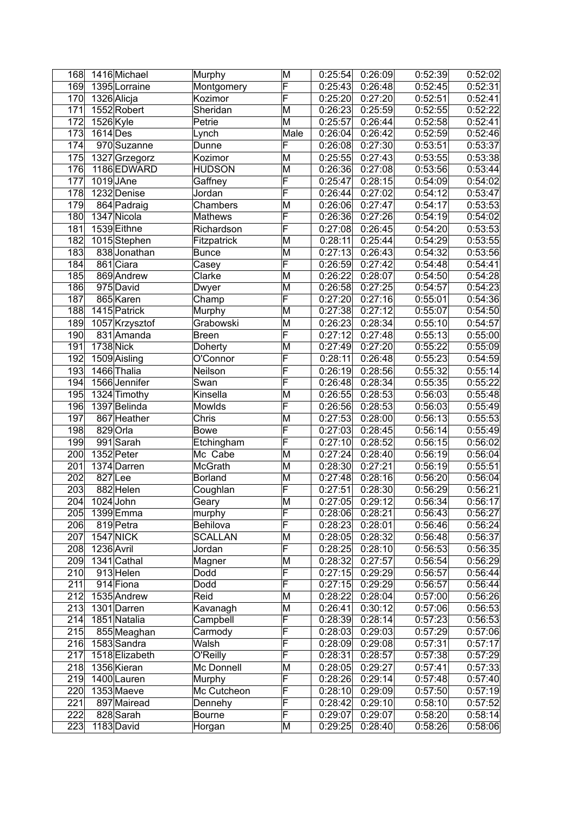| 169<br>1395 Lorraine<br>Montgomery<br>0:25:43<br>0:26:48<br>0:52:45<br>0:52:31<br>F<br>1326 Alicja<br>0:27:20<br>170<br>Kozimor<br>0:25:20<br>0:52:51<br>0:52:41<br>171<br>1552 Robert<br>M<br>0:25:59<br>Sheridan<br>0:26:23<br>0:52:55<br>0:52:22<br>172<br>M<br>1526 Kyle<br>0:25:57<br>0:26:44<br>0:52:58<br>0:52:41<br>Petrie<br>173<br>Male<br>$1614$ Des<br>0:26:04<br>0:26:42<br>0:52:59<br>0:52:46<br>Lynch<br>F<br>174<br>970 Suzanne<br>0:27:30<br>0:53:51<br>Dunne<br>0:26:08<br>0:53:37<br>M<br>175<br>1327 Grzegorz<br>0:25:55<br>0:27:43<br>0:53:55<br>0:53:38<br>Kozimor<br>176<br>1186 EDWARD<br>HUDSON<br>M<br>0:26:36<br>0:27:08<br>0:53:56<br>0:53:44<br>F<br>177<br>$1019$ JAne<br>0:28:15<br>Gaffney<br>0:25:47<br>0:54:09<br>0:54:02<br>F<br>178<br>1232 Denise<br>0:26:44<br>0:27:02<br>0:54:12<br>0:53:47<br>Jordan<br>179<br>Chambers<br>M<br>0:26:06<br>0:27:47<br>0:54:17<br>864 Padraig<br>0:53:53<br>F<br>0:27:26<br>180<br>1347 Nicola<br>0:26:36<br>0:54:19<br>Mathews<br>0:54:02<br>F<br>181<br>1539 Eithne<br>Richardson<br>0:27:08<br>0:26:45<br>0:54:20<br>0:53:53<br> 182 <br>1015Stephen<br>M<br>0:28:11<br>0:25:44<br>0:54:29<br>0:53:55<br>Fitzpatrick<br>183<br>M<br>0:26:43<br>838 Jonathan<br>0:27:13<br>0:54:32<br>0:53:56<br><b>Bunce</b><br>F<br>0:27:42<br>184<br>861 Ciara<br>0:54:48<br>0:54:41<br>Casey<br>0:26:59<br>M<br>185<br>869 Andrew<br>Clarke<br>0:28:07<br>0:54:50<br>0:54:28<br>0:26:22<br>M<br>186<br>975 David<br>0:27:25<br>0:54:57<br>0:54:23<br>Dwyer<br>0:26:58<br>F<br>187<br>865 Karen<br>0:27:16<br>0:55:01<br>Champ<br>0:27:20<br>0:54:36<br>188<br>1415 Patrick<br>M<br>0:27:12<br>0:55:07<br>Murphy<br>0:27:38<br>0:54:50<br>189<br>M<br>1057 Krzysztof<br>Grabowski<br>0:28:34<br>0:55:10<br>0:54:57<br>0:26:23<br>$\overline{\mathsf{F}}$<br>190<br>831 Amanda<br>0:27:12<br>0:27:48<br>0:55:13<br>0:55:00<br><b>Breen</b><br>191<br>1738 Nick<br>M<br>0:27:20<br><b>Doherty</b><br>0:27:49<br>0:55:22<br>0:55:09<br>F<br>192<br>0:55:23<br>1509 Aisling<br>O'Connor<br>0:28:11<br>0:26:48<br>0:54:59<br>F<br>193<br>0:28:56<br>0:55:32<br>1466 Thalia<br>Neilson<br>0:26:19<br>0:55:14<br>F<br>1566 Jennifer<br>0:28:34<br>0:55:35<br>194<br>0:26:48<br>0:55:22<br>Swan<br>M<br>195<br>1324 Timothy<br>0:26:55<br>0:28:53<br>0:56:03<br>Kinsella<br>F<br>1397 Belinda<br>196<br>0:28:53<br>0:56:03<br>Mowlds<br>0:26:56<br>197<br>M<br>867 Heather<br>Chris<br>0:27:53<br>0:28:00<br>0:56:13<br>0:55:53<br>F<br>0:56:14<br>198<br>829 Orla<br>0:27:03<br>0:28:45<br>0:55:49<br>Bowe<br>$\overline{\mathsf{F}}$<br>199<br>991 Sarah<br>0:27:10<br>0:28:52<br>0:56:15<br>0:56:02<br>Etchingham<br>200<br>1352 Peter<br>M<br>0:27:24<br>0:28:40<br>0:56:19<br>Mc Cabe<br>0:56:04<br>201<br>0:27:21<br>McGrath<br>M<br>0:28:30<br>0:56:19<br>0:55:51<br>1374 Darren<br>202<br>827Lee<br><b>Borland</b><br>M<br>0:28:16<br>0:56:20<br>0:56:04<br>0:27:48<br>F<br>203<br>882 Helen<br>0:27:51<br>0:28:30<br>0:56:29<br>0:56:21<br>Coughlan<br>$\overline{\mathsf{M}}$<br>204<br>$1024$ John<br>0:27:05<br>0:29:12<br>0:56:34<br>Geary<br>F<br>205<br>1399 Emma<br>0:28:21<br>0:56:43<br>0:56:27<br>murphy<br>0:28:06<br>F<br>206<br>Behilova<br>0:28:01<br>0:56:46<br>819 Petra<br>0:28:23<br>0:56:24<br>207<br><b>1547 NICK</b><br>M<br>0:28:32<br><b>SCALLAN</b><br>0:28:05<br>0:56:48<br>0:56:37<br>F<br>1236 Avril<br>208<br>0:28:25<br>0:28:10<br>0:56:53<br>0:56:35<br>Jordan<br>M<br>209<br>1341 Cathal<br>Magner<br>0:27:57<br>0:28:32<br>0:56:54<br>0:56:29<br>$\overline{\mathsf{F}}$<br>210<br>913 Helen<br>Dodd<br>0:27:15<br>0:29:29<br>0:56:57<br>0:56:44<br>F<br>211<br>914 Fiona<br>0:29:29<br>Dodd<br>0:27:15<br>0:56:57<br>0:56:44<br>212<br>Reid<br>M<br>1535 Andrew<br>0:28:22<br>0:28:04<br>0:57:00<br>0:56:26<br>M<br>213<br>1301 Darren<br>Kavanagh<br>0:26:41<br>0:30:12<br>0:57:06<br>0:56:53<br>F<br>214<br>1851 Natalia<br>0:28:14<br>0:57:23<br>Campbell<br>0:28:39<br>0:56:53<br>$\overline{\mathsf{F}}$<br>215<br>855 Meaghan<br>0:29:03<br>0:57:29<br>Carmody<br>0:28:03<br>0:57:06<br>F<br>216<br>1583 Sandra<br>0:29:08<br>0:57:31<br>0:57:17<br>Walsh<br>0:28:09<br>F<br>217<br>O'Reilly<br>0:57:38<br>1518 Elizabeth<br>0:28:31<br>0:28:57<br>0:57:29<br>Mc Donnell<br>M<br>218<br>1356 Kieran<br>0:28:05<br>0:29:27<br>0:57:41<br>0:57:33<br>$\overline{\mathsf{F}}$<br>219<br>1400 Lauren<br>Murphy<br>0:28:26<br>0:29:14<br>0:57:48<br>0:57:40<br>F<br>220<br>1353 Maeve<br>Mc Cutcheon<br>0:28:10<br>0:29:09<br>0:57:50<br>0:57:19<br>F<br>221<br>897 Mairead<br>0:28:42<br>0:29:10<br>0:58:10<br>Dennehy<br>F<br>222<br>828 Sarah<br>0:29:07<br>0:29:07<br>0:58:20<br><b>Bourne</b><br>M<br>223<br>1183 David<br>0:58:26<br>Horgan<br>0:29:25<br>0:28:40 | 168 | 1416 Michael | Murphy | M                       | 0:25:54 | 0:26:09 | 0:52:39 | 0:52:02 |
|------------------------------------------------------------------------------------------------------------------------------------------------------------------------------------------------------------------------------------------------------------------------------------------------------------------------------------------------------------------------------------------------------------------------------------------------------------------------------------------------------------------------------------------------------------------------------------------------------------------------------------------------------------------------------------------------------------------------------------------------------------------------------------------------------------------------------------------------------------------------------------------------------------------------------------------------------------------------------------------------------------------------------------------------------------------------------------------------------------------------------------------------------------------------------------------------------------------------------------------------------------------------------------------------------------------------------------------------------------------------------------------------------------------------------------------------------------------------------------------------------------------------------------------------------------------------------------------------------------------------------------------------------------------------------------------------------------------------------------------------------------------------------------------------------------------------------------------------------------------------------------------------------------------------------------------------------------------------------------------------------------------------------------------------------------------------------------------------------------------------------------------------------------------------------------------------------------------------------------------------------------------------------------------------------------------------------------------------------------------------------------------------------------------------------------------------------------------------------------------------------------------------------------------------------------------------------------------------------------------------------------------------------------------------------------------------------------------------------------------------------------------------------------------------------------------------------------------------------------------------------------------------------------------------------------------------------------------------------------------------------------------------------------------------------------------------------------------------------------------------------------------------------------------------------------------------------------------------------------------------------------------------------------------------------------------------------------------------------------------------------------------------------------------------------------------------------------------------------------------------------------------------------------------------------------------------------------------------------------------------------------------------------------------------------------------------------------------------------------------------------------------------------------------------------------------------------------------------------------------------------------------------------------------------------------------------------------------------------------------------------------------------------------------------------------------------------------------------------------------------------------------------------------------------------------------------------------------------------------------------------------------------------------------------------------------------------------------------------------------------------------------------------------------------------------------------------------------------------------------------------------------------------------------------------------------------------------------------------------------------------------------------------------------------------------------------------------------------------------------------------------------------|-----|--------------|--------|-------------------------|---------|---------|---------|---------|
|                                                                                                                                                                                                                                                                                                                                                                                                                                                                                                                                                                                                                                                                                                                                                                                                                                                                                                                                                                                                                                                                                                                                                                                                                                                                                                                                                                                                                                                                                                                                                                                                                                                                                                                                                                                                                                                                                                                                                                                                                                                                                                                                                                                                                                                                                                                                                                                                                                                                                                                                                                                                                                                                                                                                                                                                                                                                                                                                                                                                                                                                                                                                                                                                                                                                                                                                                                                                                                                                                                                                                                                                                                                                                                                                                                                                                                                                                                                                                                                                                                                                                                                                                                                                                                                                                                                                                                                                                                                                                                                                                                                                                                                                                                                                                                        |     |              |        | $\overline{\mathsf{F}}$ |         |         |         |         |
| 0:55:48<br>0:55:49<br>0:56:17<br>0:57:52<br>0:58:14                                                                                                                                                                                                                                                                                                                                                                                                                                                                                                                                                                                                                                                                                                                                                                                                                                                                                                                                                                                                                                                                                                                                                                                                                                                                                                                                                                                                                                                                                                                                                                                                                                                                                                                                                                                                                                                                                                                                                                                                                                                                                                                                                                                                                                                                                                                                                                                                                                                                                                                                                                                                                                                                                                                                                                                                                                                                                                                                                                                                                                                                                                                                                                                                                                                                                                                                                                                                                                                                                                                                                                                                                                                                                                                                                                                                                                                                                                                                                                                                                                                                                                                                                                                                                                                                                                                                                                                                                                                                                                                                                                                                                                                                                                                    |     |              |        |                         |         |         |         |         |
|                                                                                                                                                                                                                                                                                                                                                                                                                                                                                                                                                                                                                                                                                                                                                                                                                                                                                                                                                                                                                                                                                                                                                                                                                                                                                                                                                                                                                                                                                                                                                                                                                                                                                                                                                                                                                                                                                                                                                                                                                                                                                                                                                                                                                                                                                                                                                                                                                                                                                                                                                                                                                                                                                                                                                                                                                                                                                                                                                                                                                                                                                                                                                                                                                                                                                                                                                                                                                                                                                                                                                                                                                                                                                                                                                                                                                                                                                                                                                                                                                                                                                                                                                                                                                                                                                                                                                                                                                                                                                                                                                                                                                                                                                                                                                                        |     |              |        |                         |         |         |         |         |
|                                                                                                                                                                                                                                                                                                                                                                                                                                                                                                                                                                                                                                                                                                                                                                                                                                                                                                                                                                                                                                                                                                                                                                                                                                                                                                                                                                                                                                                                                                                                                                                                                                                                                                                                                                                                                                                                                                                                                                                                                                                                                                                                                                                                                                                                                                                                                                                                                                                                                                                                                                                                                                                                                                                                                                                                                                                                                                                                                                                                                                                                                                                                                                                                                                                                                                                                                                                                                                                                                                                                                                                                                                                                                                                                                                                                                                                                                                                                                                                                                                                                                                                                                                                                                                                                                                                                                                                                                                                                                                                                                                                                                                                                                                                                                                        |     |              |        |                         |         |         |         |         |
| 0:58:06                                                                                                                                                                                                                                                                                                                                                                                                                                                                                                                                                                                                                                                                                                                                                                                                                                                                                                                                                                                                                                                                                                                                                                                                                                                                                                                                                                                                                                                                                                                                                                                                                                                                                                                                                                                                                                                                                                                                                                                                                                                                                                                                                                                                                                                                                                                                                                                                                                                                                                                                                                                                                                                                                                                                                                                                                                                                                                                                                                                                                                                                                                                                                                                                                                                                                                                                                                                                                                                                                                                                                                                                                                                                                                                                                                                                                                                                                                                                                                                                                                                                                                                                                                                                                                                                                                                                                                                                                                                                                                                                                                                                                                                                                                                                                                |     |              |        |                         |         |         |         |         |
|                                                                                                                                                                                                                                                                                                                                                                                                                                                                                                                                                                                                                                                                                                                                                                                                                                                                                                                                                                                                                                                                                                                                                                                                                                                                                                                                                                                                                                                                                                                                                                                                                                                                                                                                                                                                                                                                                                                                                                                                                                                                                                                                                                                                                                                                                                                                                                                                                                                                                                                                                                                                                                                                                                                                                                                                                                                                                                                                                                                                                                                                                                                                                                                                                                                                                                                                                                                                                                                                                                                                                                                                                                                                                                                                                                                                                                                                                                                                                                                                                                                                                                                                                                                                                                                                                                                                                                                                                                                                                                                                                                                                                                                                                                                                                                        |     |              |        |                         |         |         |         |         |
|                                                                                                                                                                                                                                                                                                                                                                                                                                                                                                                                                                                                                                                                                                                                                                                                                                                                                                                                                                                                                                                                                                                                                                                                                                                                                                                                                                                                                                                                                                                                                                                                                                                                                                                                                                                                                                                                                                                                                                                                                                                                                                                                                                                                                                                                                                                                                                                                                                                                                                                                                                                                                                                                                                                                                                                                                                                                                                                                                                                                                                                                                                                                                                                                                                                                                                                                                                                                                                                                                                                                                                                                                                                                                                                                                                                                                                                                                                                                                                                                                                                                                                                                                                                                                                                                                                                                                                                                                                                                                                                                                                                                                                                                                                                                                                        |     |              |        |                         |         |         |         |         |
|                                                                                                                                                                                                                                                                                                                                                                                                                                                                                                                                                                                                                                                                                                                                                                                                                                                                                                                                                                                                                                                                                                                                                                                                                                                                                                                                                                                                                                                                                                                                                                                                                                                                                                                                                                                                                                                                                                                                                                                                                                                                                                                                                                                                                                                                                                                                                                                                                                                                                                                                                                                                                                                                                                                                                                                                                                                                                                                                                                                                                                                                                                                                                                                                                                                                                                                                                                                                                                                                                                                                                                                                                                                                                                                                                                                                                                                                                                                                                                                                                                                                                                                                                                                                                                                                                                                                                                                                                                                                                                                                                                                                                                                                                                                                                                        |     |              |        |                         |         |         |         |         |
|                                                                                                                                                                                                                                                                                                                                                                                                                                                                                                                                                                                                                                                                                                                                                                                                                                                                                                                                                                                                                                                                                                                                                                                                                                                                                                                                                                                                                                                                                                                                                                                                                                                                                                                                                                                                                                                                                                                                                                                                                                                                                                                                                                                                                                                                                                                                                                                                                                                                                                                                                                                                                                                                                                                                                                                                                                                                                                                                                                                                                                                                                                                                                                                                                                                                                                                                                                                                                                                                                                                                                                                                                                                                                                                                                                                                                                                                                                                                                                                                                                                                                                                                                                                                                                                                                                                                                                                                                                                                                                                                                                                                                                                                                                                                                                        |     |              |        |                         |         |         |         |         |
|                                                                                                                                                                                                                                                                                                                                                                                                                                                                                                                                                                                                                                                                                                                                                                                                                                                                                                                                                                                                                                                                                                                                                                                                                                                                                                                                                                                                                                                                                                                                                                                                                                                                                                                                                                                                                                                                                                                                                                                                                                                                                                                                                                                                                                                                                                                                                                                                                                                                                                                                                                                                                                                                                                                                                                                                                                                                                                                                                                                                                                                                                                                                                                                                                                                                                                                                                                                                                                                                                                                                                                                                                                                                                                                                                                                                                                                                                                                                                                                                                                                                                                                                                                                                                                                                                                                                                                                                                                                                                                                                                                                                                                                                                                                                                                        |     |              |        |                         |         |         |         |         |
|                                                                                                                                                                                                                                                                                                                                                                                                                                                                                                                                                                                                                                                                                                                                                                                                                                                                                                                                                                                                                                                                                                                                                                                                                                                                                                                                                                                                                                                                                                                                                                                                                                                                                                                                                                                                                                                                                                                                                                                                                                                                                                                                                                                                                                                                                                                                                                                                                                                                                                                                                                                                                                                                                                                                                                                                                                                                                                                                                                                                                                                                                                                                                                                                                                                                                                                                                                                                                                                                                                                                                                                                                                                                                                                                                                                                                                                                                                                                                                                                                                                                                                                                                                                                                                                                                                                                                                                                                                                                                                                                                                                                                                                                                                                                                                        |     |              |        |                         |         |         |         |         |
|                                                                                                                                                                                                                                                                                                                                                                                                                                                                                                                                                                                                                                                                                                                                                                                                                                                                                                                                                                                                                                                                                                                                                                                                                                                                                                                                                                                                                                                                                                                                                                                                                                                                                                                                                                                                                                                                                                                                                                                                                                                                                                                                                                                                                                                                                                                                                                                                                                                                                                                                                                                                                                                                                                                                                                                                                                                                                                                                                                                                                                                                                                                                                                                                                                                                                                                                                                                                                                                                                                                                                                                                                                                                                                                                                                                                                                                                                                                                                                                                                                                                                                                                                                                                                                                                                                                                                                                                                                                                                                                                                                                                                                                                                                                                                                        |     |              |        |                         |         |         |         |         |
|                                                                                                                                                                                                                                                                                                                                                                                                                                                                                                                                                                                                                                                                                                                                                                                                                                                                                                                                                                                                                                                                                                                                                                                                                                                                                                                                                                                                                                                                                                                                                                                                                                                                                                                                                                                                                                                                                                                                                                                                                                                                                                                                                                                                                                                                                                                                                                                                                                                                                                                                                                                                                                                                                                                                                                                                                                                                                                                                                                                                                                                                                                                                                                                                                                                                                                                                                                                                                                                                                                                                                                                                                                                                                                                                                                                                                                                                                                                                                                                                                                                                                                                                                                                                                                                                                                                                                                                                                                                                                                                                                                                                                                                                                                                                                                        |     |              |        |                         |         |         |         |         |
|                                                                                                                                                                                                                                                                                                                                                                                                                                                                                                                                                                                                                                                                                                                                                                                                                                                                                                                                                                                                                                                                                                                                                                                                                                                                                                                                                                                                                                                                                                                                                                                                                                                                                                                                                                                                                                                                                                                                                                                                                                                                                                                                                                                                                                                                                                                                                                                                                                                                                                                                                                                                                                                                                                                                                                                                                                                                                                                                                                                                                                                                                                                                                                                                                                                                                                                                                                                                                                                                                                                                                                                                                                                                                                                                                                                                                                                                                                                                                                                                                                                                                                                                                                                                                                                                                                                                                                                                                                                                                                                                                                                                                                                                                                                                                                        |     |              |        |                         |         |         |         |         |
|                                                                                                                                                                                                                                                                                                                                                                                                                                                                                                                                                                                                                                                                                                                                                                                                                                                                                                                                                                                                                                                                                                                                                                                                                                                                                                                                                                                                                                                                                                                                                                                                                                                                                                                                                                                                                                                                                                                                                                                                                                                                                                                                                                                                                                                                                                                                                                                                                                                                                                                                                                                                                                                                                                                                                                                                                                                                                                                                                                                                                                                                                                                                                                                                                                                                                                                                                                                                                                                                                                                                                                                                                                                                                                                                                                                                                                                                                                                                                                                                                                                                                                                                                                                                                                                                                                                                                                                                                                                                                                                                                                                                                                                                                                                                                                        |     |              |        |                         |         |         |         |         |
|                                                                                                                                                                                                                                                                                                                                                                                                                                                                                                                                                                                                                                                                                                                                                                                                                                                                                                                                                                                                                                                                                                                                                                                                                                                                                                                                                                                                                                                                                                                                                                                                                                                                                                                                                                                                                                                                                                                                                                                                                                                                                                                                                                                                                                                                                                                                                                                                                                                                                                                                                                                                                                                                                                                                                                                                                                                                                                                                                                                                                                                                                                                                                                                                                                                                                                                                                                                                                                                                                                                                                                                                                                                                                                                                                                                                                                                                                                                                                                                                                                                                                                                                                                                                                                                                                                                                                                                                                                                                                                                                                                                                                                                                                                                                                                        |     |              |        |                         |         |         |         |         |
|                                                                                                                                                                                                                                                                                                                                                                                                                                                                                                                                                                                                                                                                                                                                                                                                                                                                                                                                                                                                                                                                                                                                                                                                                                                                                                                                                                                                                                                                                                                                                                                                                                                                                                                                                                                                                                                                                                                                                                                                                                                                                                                                                                                                                                                                                                                                                                                                                                                                                                                                                                                                                                                                                                                                                                                                                                                                                                                                                                                                                                                                                                                                                                                                                                                                                                                                                                                                                                                                                                                                                                                                                                                                                                                                                                                                                                                                                                                                                                                                                                                                                                                                                                                                                                                                                                                                                                                                                                                                                                                                                                                                                                                                                                                                                                        |     |              |        |                         |         |         |         |         |
|                                                                                                                                                                                                                                                                                                                                                                                                                                                                                                                                                                                                                                                                                                                                                                                                                                                                                                                                                                                                                                                                                                                                                                                                                                                                                                                                                                                                                                                                                                                                                                                                                                                                                                                                                                                                                                                                                                                                                                                                                                                                                                                                                                                                                                                                                                                                                                                                                                                                                                                                                                                                                                                                                                                                                                                                                                                                                                                                                                                                                                                                                                                                                                                                                                                                                                                                                                                                                                                                                                                                                                                                                                                                                                                                                                                                                                                                                                                                                                                                                                                                                                                                                                                                                                                                                                                                                                                                                                                                                                                                                                                                                                                                                                                                                                        |     |              |        |                         |         |         |         |         |
|                                                                                                                                                                                                                                                                                                                                                                                                                                                                                                                                                                                                                                                                                                                                                                                                                                                                                                                                                                                                                                                                                                                                                                                                                                                                                                                                                                                                                                                                                                                                                                                                                                                                                                                                                                                                                                                                                                                                                                                                                                                                                                                                                                                                                                                                                                                                                                                                                                                                                                                                                                                                                                                                                                                                                                                                                                                                                                                                                                                                                                                                                                                                                                                                                                                                                                                                                                                                                                                                                                                                                                                                                                                                                                                                                                                                                                                                                                                                                                                                                                                                                                                                                                                                                                                                                                                                                                                                                                                                                                                                                                                                                                                                                                                                                                        |     |              |        |                         |         |         |         |         |
|                                                                                                                                                                                                                                                                                                                                                                                                                                                                                                                                                                                                                                                                                                                                                                                                                                                                                                                                                                                                                                                                                                                                                                                                                                                                                                                                                                                                                                                                                                                                                                                                                                                                                                                                                                                                                                                                                                                                                                                                                                                                                                                                                                                                                                                                                                                                                                                                                                                                                                                                                                                                                                                                                                                                                                                                                                                                                                                                                                                                                                                                                                                                                                                                                                                                                                                                                                                                                                                                                                                                                                                                                                                                                                                                                                                                                                                                                                                                                                                                                                                                                                                                                                                                                                                                                                                                                                                                                                                                                                                                                                                                                                                                                                                                                                        |     |              |        |                         |         |         |         |         |
|                                                                                                                                                                                                                                                                                                                                                                                                                                                                                                                                                                                                                                                                                                                                                                                                                                                                                                                                                                                                                                                                                                                                                                                                                                                                                                                                                                                                                                                                                                                                                                                                                                                                                                                                                                                                                                                                                                                                                                                                                                                                                                                                                                                                                                                                                                                                                                                                                                                                                                                                                                                                                                                                                                                                                                                                                                                                                                                                                                                                                                                                                                                                                                                                                                                                                                                                                                                                                                                                                                                                                                                                                                                                                                                                                                                                                                                                                                                                                                                                                                                                                                                                                                                                                                                                                                                                                                                                                                                                                                                                                                                                                                                                                                                                                                        |     |              |        |                         |         |         |         |         |
|                                                                                                                                                                                                                                                                                                                                                                                                                                                                                                                                                                                                                                                                                                                                                                                                                                                                                                                                                                                                                                                                                                                                                                                                                                                                                                                                                                                                                                                                                                                                                                                                                                                                                                                                                                                                                                                                                                                                                                                                                                                                                                                                                                                                                                                                                                                                                                                                                                                                                                                                                                                                                                                                                                                                                                                                                                                                                                                                                                                                                                                                                                                                                                                                                                                                                                                                                                                                                                                                                                                                                                                                                                                                                                                                                                                                                                                                                                                                                                                                                                                                                                                                                                                                                                                                                                                                                                                                                                                                                                                                                                                                                                                                                                                                                                        |     |              |        |                         |         |         |         |         |
|                                                                                                                                                                                                                                                                                                                                                                                                                                                                                                                                                                                                                                                                                                                                                                                                                                                                                                                                                                                                                                                                                                                                                                                                                                                                                                                                                                                                                                                                                                                                                                                                                                                                                                                                                                                                                                                                                                                                                                                                                                                                                                                                                                                                                                                                                                                                                                                                                                                                                                                                                                                                                                                                                                                                                                                                                                                                                                                                                                                                                                                                                                                                                                                                                                                                                                                                                                                                                                                                                                                                                                                                                                                                                                                                                                                                                                                                                                                                                                                                                                                                                                                                                                                                                                                                                                                                                                                                                                                                                                                                                                                                                                                                                                                                                                        |     |              |        |                         |         |         |         |         |
|                                                                                                                                                                                                                                                                                                                                                                                                                                                                                                                                                                                                                                                                                                                                                                                                                                                                                                                                                                                                                                                                                                                                                                                                                                                                                                                                                                                                                                                                                                                                                                                                                                                                                                                                                                                                                                                                                                                                                                                                                                                                                                                                                                                                                                                                                                                                                                                                                                                                                                                                                                                                                                                                                                                                                                                                                                                                                                                                                                                                                                                                                                                                                                                                                                                                                                                                                                                                                                                                                                                                                                                                                                                                                                                                                                                                                                                                                                                                                                                                                                                                                                                                                                                                                                                                                                                                                                                                                                                                                                                                                                                                                                                                                                                                                                        |     |              |        |                         |         |         |         |         |
|                                                                                                                                                                                                                                                                                                                                                                                                                                                                                                                                                                                                                                                                                                                                                                                                                                                                                                                                                                                                                                                                                                                                                                                                                                                                                                                                                                                                                                                                                                                                                                                                                                                                                                                                                                                                                                                                                                                                                                                                                                                                                                                                                                                                                                                                                                                                                                                                                                                                                                                                                                                                                                                                                                                                                                                                                                                                                                                                                                                                                                                                                                                                                                                                                                                                                                                                                                                                                                                                                                                                                                                                                                                                                                                                                                                                                                                                                                                                                                                                                                                                                                                                                                                                                                                                                                                                                                                                                                                                                                                                                                                                                                                                                                                                                                        |     |              |        |                         |         |         |         |         |
|                                                                                                                                                                                                                                                                                                                                                                                                                                                                                                                                                                                                                                                                                                                                                                                                                                                                                                                                                                                                                                                                                                                                                                                                                                                                                                                                                                                                                                                                                                                                                                                                                                                                                                                                                                                                                                                                                                                                                                                                                                                                                                                                                                                                                                                                                                                                                                                                                                                                                                                                                                                                                                                                                                                                                                                                                                                                                                                                                                                                                                                                                                                                                                                                                                                                                                                                                                                                                                                                                                                                                                                                                                                                                                                                                                                                                                                                                                                                                                                                                                                                                                                                                                                                                                                                                                                                                                                                                                                                                                                                                                                                                                                                                                                                                                        |     |              |        |                         |         |         |         |         |
|                                                                                                                                                                                                                                                                                                                                                                                                                                                                                                                                                                                                                                                                                                                                                                                                                                                                                                                                                                                                                                                                                                                                                                                                                                                                                                                                                                                                                                                                                                                                                                                                                                                                                                                                                                                                                                                                                                                                                                                                                                                                                                                                                                                                                                                                                                                                                                                                                                                                                                                                                                                                                                                                                                                                                                                                                                                                                                                                                                                                                                                                                                                                                                                                                                                                                                                                                                                                                                                                                                                                                                                                                                                                                                                                                                                                                                                                                                                                                                                                                                                                                                                                                                                                                                                                                                                                                                                                                                                                                                                                                                                                                                                                                                                                                                        |     |              |        |                         |         |         |         |         |
|                                                                                                                                                                                                                                                                                                                                                                                                                                                                                                                                                                                                                                                                                                                                                                                                                                                                                                                                                                                                                                                                                                                                                                                                                                                                                                                                                                                                                                                                                                                                                                                                                                                                                                                                                                                                                                                                                                                                                                                                                                                                                                                                                                                                                                                                                                                                                                                                                                                                                                                                                                                                                                                                                                                                                                                                                                                                                                                                                                                                                                                                                                                                                                                                                                                                                                                                                                                                                                                                                                                                                                                                                                                                                                                                                                                                                                                                                                                                                                                                                                                                                                                                                                                                                                                                                                                                                                                                                                                                                                                                                                                                                                                                                                                                                                        |     |              |        |                         |         |         |         |         |
|                                                                                                                                                                                                                                                                                                                                                                                                                                                                                                                                                                                                                                                                                                                                                                                                                                                                                                                                                                                                                                                                                                                                                                                                                                                                                                                                                                                                                                                                                                                                                                                                                                                                                                                                                                                                                                                                                                                                                                                                                                                                                                                                                                                                                                                                                                                                                                                                                                                                                                                                                                                                                                                                                                                                                                                                                                                                                                                                                                                                                                                                                                                                                                                                                                                                                                                                                                                                                                                                                                                                                                                                                                                                                                                                                                                                                                                                                                                                                                                                                                                                                                                                                                                                                                                                                                                                                                                                                                                                                                                                                                                                                                                                                                                                                                        |     |              |        |                         |         |         |         |         |
|                                                                                                                                                                                                                                                                                                                                                                                                                                                                                                                                                                                                                                                                                                                                                                                                                                                                                                                                                                                                                                                                                                                                                                                                                                                                                                                                                                                                                                                                                                                                                                                                                                                                                                                                                                                                                                                                                                                                                                                                                                                                                                                                                                                                                                                                                                                                                                                                                                                                                                                                                                                                                                                                                                                                                                                                                                                                                                                                                                                                                                                                                                                                                                                                                                                                                                                                                                                                                                                                                                                                                                                                                                                                                                                                                                                                                                                                                                                                                                                                                                                                                                                                                                                                                                                                                                                                                                                                                                                                                                                                                                                                                                                                                                                                                                        |     |              |        |                         |         |         |         |         |
|                                                                                                                                                                                                                                                                                                                                                                                                                                                                                                                                                                                                                                                                                                                                                                                                                                                                                                                                                                                                                                                                                                                                                                                                                                                                                                                                                                                                                                                                                                                                                                                                                                                                                                                                                                                                                                                                                                                                                                                                                                                                                                                                                                                                                                                                                                                                                                                                                                                                                                                                                                                                                                                                                                                                                                                                                                                                                                                                                                                                                                                                                                                                                                                                                                                                                                                                                                                                                                                                                                                                                                                                                                                                                                                                                                                                                                                                                                                                                                                                                                                                                                                                                                                                                                                                                                                                                                                                                                                                                                                                                                                                                                                                                                                                                                        |     |              |        |                         |         |         |         |         |
|                                                                                                                                                                                                                                                                                                                                                                                                                                                                                                                                                                                                                                                                                                                                                                                                                                                                                                                                                                                                                                                                                                                                                                                                                                                                                                                                                                                                                                                                                                                                                                                                                                                                                                                                                                                                                                                                                                                                                                                                                                                                                                                                                                                                                                                                                                                                                                                                                                                                                                                                                                                                                                                                                                                                                                                                                                                                                                                                                                                                                                                                                                                                                                                                                                                                                                                                                                                                                                                                                                                                                                                                                                                                                                                                                                                                                                                                                                                                                                                                                                                                                                                                                                                                                                                                                                                                                                                                                                                                                                                                                                                                                                                                                                                                                                        |     |              |        |                         |         |         |         |         |
|                                                                                                                                                                                                                                                                                                                                                                                                                                                                                                                                                                                                                                                                                                                                                                                                                                                                                                                                                                                                                                                                                                                                                                                                                                                                                                                                                                                                                                                                                                                                                                                                                                                                                                                                                                                                                                                                                                                                                                                                                                                                                                                                                                                                                                                                                                                                                                                                                                                                                                                                                                                                                                                                                                                                                                                                                                                                                                                                                                                                                                                                                                                                                                                                                                                                                                                                                                                                                                                                                                                                                                                                                                                                                                                                                                                                                                                                                                                                                                                                                                                                                                                                                                                                                                                                                                                                                                                                                                                                                                                                                                                                                                                                                                                                                                        |     |              |        |                         |         |         |         |         |
|                                                                                                                                                                                                                                                                                                                                                                                                                                                                                                                                                                                                                                                                                                                                                                                                                                                                                                                                                                                                                                                                                                                                                                                                                                                                                                                                                                                                                                                                                                                                                                                                                                                                                                                                                                                                                                                                                                                                                                                                                                                                                                                                                                                                                                                                                                                                                                                                                                                                                                                                                                                                                                                                                                                                                                                                                                                                                                                                                                                                                                                                                                                                                                                                                                                                                                                                                                                                                                                                                                                                                                                                                                                                                                                                                                                                                                                                                                                                                                                                                                                                                                                                                                                                                                                                                                                                                                                                                                                                                                                                                                                                                                                                                                                                                                        |     |              |        |                         |         |         |         |         |
|                                                                                                                                                                                                                                                                                                                                                                                                                                                                                                                                                                                                                                                                                                                                                                                                                                                                                                                                                                                                                                                                                                                                                                                                                                                                                                                                                                                                                                                                                                                                                                                                                                                                                                                                                                                                                                                                                                                                                                                                                                                                                                                                                                                                                                                                                                                                                                                                                                                                                                                                                                                                                                                                                                                                                                                                                                                                                                                                                                                                                                                                                                                                                                                                                                                                                                                                                                                                                                                                                                                                                                                                                                                                                                                                                                                                                                                                                                                                                                                                                                                                                                                                                                                                                                                                                                                                                                                                                                                                                                                                                                                                                                                                                                                                                                        |     |              |        |                         |         |         |         |         |
|                                                                                                                                                                                                                                                                                                                                                                                                                                                                                                                                                                                                                                                                                                                                                                                                                                                                                                                                                                                                                                                                                                                                                                                                                                                                                                                                                                                                                                                                                                                                                                                                                                                                                                                                                                                                                                                                                                                                                                                                                                                                                                                                                                                                                                                                                                                                                                                                                                                                                                                                                                                                                                                                                                                                                                                                                                                                                                                                                                                                                                                                                                                                                                                                                                                                                                                                                                                                                                                                                                                                                                                                                                                                                                                                                                                                                                                                                                                                                                                                                                                                                                                                                                                                                                                                                                                                                                                                                                                                                                                                                                                                                                                                                                                                                                        |     |              |        |                         |         |         |         |         |
|                                                                                                                                                                                                                                                                                                                                                                                                                                                                                                                                                                                                                                                                                                                                                                                                                                                                                                                                                                                                                                                                                                                                                                                                                                                                                                                                                                                                                                                                                                                                                                                                                                                                                                                                                                                                                                                                                                                                                                                                                                                                                                                                                                                                                                                                                                                                                                                                                                                                                                                                                                                                                                                                                                                                                                                                                                                                                                                                                                                                                                                                                                                                                                                                                                                                                                                                                                                                                                                                                                                                                                                                                                                                                                                                                                                                                                                                                                                                                                                                                                                                                                                                                                                                                                                                                                                                                                                                                                                                                                                                                                                                                                                                                                                                                                        |     |              |        |                         |         |         |         |         |
|                                                                                                                                                                                                                                                                                                                                                                                                                                                                                                                                                                                                                                                                                                                                                                                                                                                                                                                                                                                                                                                                                                                                                                                                                                                                                                                                                                                                                                                                                                                                                                                                                                                                                                                                                                                                                                                                                                                                                                                                                                                                                                                                                                                                                                                                                                                                                                                                                                                                                                                                                                                                                                                                                                                                                                                                                                                                                                                                                                                                                                                                                                                                                                                                                                                                                                                                                                                                                                                                                                                                                                                                                                                                                                                                                                                                                                                                                                                                                                                                                                                                                                                                                                                                                                                                                                                                                                                                                                                                                                                                                                                                                                                                                                                                                                        |     |              |        |                         |         |         |         |         |
|                                                                                                                                                                                                                                                                                                                                                                                                                                                                                                                                                                                                                                                                                                                                                                                                                                                                                                                                                                                                                                                                                                                                                                                                                                                                                                                                                                                                                                                                                                                                                                                                                                                                                                                                                                                                                                                                                                                                                                                                                                                                                                                                                                                                                                                                                                                                                                                                                                                                                                                                                                                                                                                                                                                                                                                                                                                                                                                                                                                                                                                                                                                                                                                                                                                                                                                                                                                                                                                                                                                                                                                                                                                                                                                                                                                                                                                                                                                                                                                                                                                                                                                                                                                                                                                                                                                                                                                                                                                                                                                                                                                                                                                                                                                                                                        |     |              |        |                         |         |         |         |         |
|                                                                                                                                                                                                                                                                                                                                                                                                                                                                                                                                                                                                                                                                                                                                                                                                                                                                                                                                                                                                                                                                                                                                                                                                                                                                                                                                                                                                                                                                                                                                                                                                                                                                                                                                                                                                                                                                                                                                                                                                                                                                                                                                                                                                                                                                                                                                                                                                                                                                                                                                                                                                                                                                                                                                                                                                                                                                                                                                                                                                                                                                                                                                                                                                                                                                                                                                                                                                                                                                                                                                                                                                                                                                                                                                                                                                                                                                                                                                                                                                                                                                                                                                                                                                                                                                                                                                                                                                                                                                                                                                                                                                                                                                                                                                                                        |     |              |        |                         |         |         |         |         |
|                                                                                                                                                                                                                                                                                                                                                                                                                                                                                                                                                                                                                                                                                                                                                                                                                                                                                                                                                                                                                                                                                                                                                                                                                                                                                                                                                                                                                                                                                                                                                                                                                                                                                                                                                                                                                                                                                                                                                                                                                                                                                                                                                                                                                                                                                                                                                                                                                                                                                                                                                                                                                                                                                                                                                                                                                                                                                                                                                                                                                                                                                                                                                                                                                                                                                                                                                                                                                                                                                                                                                                                                                                                                                                                                                                                                                                                                                                                                                                                                                                                                                                                                                                                                                                                                                                                                                                                                                                                                                                                                                                                                                                                                                                                                                                        |     |              |        |                         |         |         |         |         |
|                                                                                                                                                                                                                                                                                                                                                                                                                                                                                                                                                                                                                                                                                                                                                                                                                                                                                                                                                                                                                                                                                                                                                                                                                                                                                                                                                                                                                                                                                                                                                                                                                                                                                                                                                                                                                                                                                                                                                                                                                                                                                                                                                                                                                                                                                                                                                                                                                                                                                                                                                                                                                                                                                                                                                                                                                                                                                                                                                                                                                                                                                                                                                                                                                                                                                                                                                                                                                                                                                                                                                                                                                                                                                                                                                                                                                                                                                                                                                                                                                                                                                                                                                                                                                                                                                                                                                                                                                                                                                                                                                                                                                                                                                                                                                                        |     |              |        |                         |         |         |         |         |
|                                                                                                                                                                                                                                                                                                                                                                                                                                                                                                                                                                                                                                                                                                                                                                                                                                                                                                                                                                                                                                                                                                                                                                                                                                                                                                                                                                                                                                                                                                                                                                                                                                                                                                                                                                                                                                                                                                                                                                                                                                                                                                                                                                                                                                                                                                                                                                                                                                                                                                                                                                                                                                                                                                                                                                                                                                                                                                                                                                                                                                                                                                                                                                                                                                                                                                                                                                                                                                                                                                                                                                                                                                                                                                                                                                                                                                                                                                                                                                                                                                                                                                                                                                                                                                                                                                                                                                                                                                                                                                                                                                                                                                                                                                                                                                        |     |              |        |                         |         |         |         |         |
|                                                                                                                                                                                                                                                                                                                                                                                                                                                                                                                                                                                                                                                                                                                                                                                                                                                                                                                                                                                                                                                                                                                                                                                                                                                                                                                                                                                                                                                                                                                                                                                                                                                                                                                                                                                                                                                                                                                                                                                                                                                                                                                                                                                                                                                                                                                                                                                                                                                                                                                                                                                                                                                                                                                                                                                                                                                                                                                                                                                                                                                                                                                                                                                                                                                                                                                                                                                                                                                                                                                                                                                                                                                                                                                                                                                                                                                                                                                                                                                                                                                                                                                                                                                                                                                                                                                                                                                                                                                                                                                                                                                                                                                                                                                                                                        |     |              |        |                         |         |         |         |         |
|                                                                                                                                                                                                                                                                                                                                                                                                                                                                                                                                                                                                                                                                                                                                                                                                                                                                                                                                                                                                                                                                                                                                                                                                                                                                                                                                                                                                                                                                                                                                                                                                                                                                                                                                                                                                                                                                                                                                                                                                                                                                                                                                                                                                                                                                                                                                                                                                                                                                                                                                                                                                                                                                                                                                                                                                                                                                                                                                                                                                                                                                                                                                                                                                                                                                                                                                                                                                                                                                                                                                                                                                                                                                                                                                                                                                                                                                                                                                                                                                                                                                                                                                                                                                                                                                                                                                                                                                                                                                                                                                                                                                                                                                                                                                                                        |     |              |        |                         |         |         |         |         |
|                                                                                                                                                                                                                                                                                                                                                                                                                                                                                                                                                                                                                                                                                                                                                                                                                                                                                                                                                                                                                                                                                                                                                                                                                                                                                                                                                                                                                                                                                                                                                                                                                                                                                                                                                                                                                                                                                                                                                                                                                                                                                                                                                                                                                                                                                                                                                                                                                                                                                                                                                                                                                                                                                                                                                                                                                                                                                                                                                                                                                                                                                                                                                                                                                                                                                                                                                                                                                                                                                                                                                                                                                                                                                                                                                                                                                                                                                                                                                                                                                                                                                                                                                                                                                                                                                                                                                                                                                                                                                                                                                                                                                                                                                                                                                                        |     |              |        |                         |         |         |         |         |
|                                                                                                                                                                                                                                                                                                                                                                                                                                                                                                                                                                                                                                                                                                                                                                                                                                                                                                                                                                                                                                                                                                                                                                                                                                                                                                                                                                                                                                                                                                                                                                                                                                                                                                                                                                                                                                                                                                                                                                                                                                                                                                                                                                                                                                                                                                                                                                                                                                                                                                                                                                                                                                                                                                                                                                                                                                                                                                                                                                                                                                                                                                                                                                                                                                                                                                                                                                                                                                                                                                                                                                                                                                                                                                                                                                                                                                                                                                                                                                                                                                                                                                                                                                                                                                                                                                                                                                                                                                                                                                                                                                                                                                                                                                                                                                        |     |              |        |                         |         |         |         |         |
|                                                                                                                                                                                                                                                                                                                                                                                                                                                                                                                                                                                                                                                                                                                                                                                                                                                                                                                                                                                                                                                                                                                                                                                                                                                                                                                                                                                                                                                                                                                                                                                                                                                                                                                                                                                                                                                                                                                                                                                                                                                                                                                                                                                                                                                                                                                                                                                                                                                                                                                                                                                                                                                                                                                                                                                                                                                                                                                                                                                                                                                                                                                                                                                                                                                                                                                                                                                                                                                                                                                                                                                                                                                                                                                                                                                                                                                                                                                                                                                                                                                                                                                                                                                                                                                                                                                                                                                                                                                                                                                                                                                                                                                                                                                                                                        |     |              |        |                         |         |         |         |         |
|                                                                                                                                                                                                                                                                                                                                                                                                                                                                                                                                                                                                                                                                                                                                                                                                                                                                                                                                                                                                                                                                                                                                                                                                                                                                                                                                                                                                                                                                                                                                                                                                                                                                                                                                                                                                                                                                                                                                                                                                                                                                                                                                                                                                                                                                                                                                                                                                                                                                                                                                                                                                                                                                                                                                                                                                                                                                                                                                                                                                                                                                                                                                                                                                                                                                                                                                                                                                                                                                                                                                                                                                                                                                                                                                                                                                                                                                                                                                                                                                                                                                                                                                                                                                                                                                                                                                                                                                                                                                                                                                                                                                                                                                                                                                                                        |     |              |        |                         |         |         |         |         |
|                                                                                                                                                                                                                                                                                                                                                                                                                                                                                                                                                                                                                                                                                                                                                                                                                                                                                                                                                                                                                                                                                                                                                                                                                                                                                                                                                                                                                                                                                                                                                                                                                                                                                                                                                                                                                                                                                                                                                                                                                                                                                                                                                                                                                                                                                                                                                                                                                                                                                                                                                                                                                                                                                                                                                                                                                                                                                                                                                                                                                                                                                                                                                                                                                                                                                                                                                                                                                                                                                                                                                                                                                                                                                                                                                                                                                                                                                                                                                                                                                                                                                                                                                                                                                                                                                                                                                                                                                                                                                                                                                                                                                                                                                                                                                                        |     |              |        |                         |         |         |         |         |
|                                                                                                                                                                                                                                                                                                                                                                                                                                                                                                                                                                                                                                                                                                                                                                                                                                                                                                                                                                                                                                                                                                                                                                                                                                                                                                                                                                                                                                                                                                                                                                                                                                                                                                                                                                                                                                                                                                                                                                                                                                                                                                                                                                                                                                                                                                                                                                                                                                                                                                                                                                                                                                                                                                                                                                                                                                                                                                                                                                                                                                                                                                                                                                                                                                                                                                                                                                                                                                                                                                                                                                                                                                                                                                                                                                                                                                                                                                                                                                                                                                                                                                                                                                                                                                                                                                                                                                                                                                                                                                                                                                                                                                                                                                                                                                        |     |              |        |                         |         |         |         |         |
|                                                                                                                                                                                                                                                                                                                                                                                                                                                                                                                                                                                                                                                                                                                                                                                                                                                                                                                                                                                                                                                                                                                                                                                                                                                                                                                                                                                                                                                                                                                                                                                                                                                                                                                                                                                                                                                                                                                                                                                                                                                                                                                                                                                                                                                                                                                                                                                                                                                                                                                                                                                                                                                                                                                                                                                                                                                                                                                                                                                                                                                                                                                                                                                                                                                                                                                                                                                                                                                                                                                                                                                                                                                                                                                                                                                                                                                                                                                                                                                                                                                                                                                                                                                                                                                                                                                                                                                                                                                                                                                                                                                                                                                                                                                                                                        |     |              |        |                         |         |         |         |         |
|                                                                                                                                                                                                                                                                                                                                                                                                                                                                                                                                                                                                                                                                                                                                                                                                                                                                                                                                                                                                                                                                                                                                                                                                                                                                                                                                                                                                                                                                                                                                                                                                                                                                                                                                                                                                                                                                                                                                                                                                                                                                                                                                                                                                                                                                                                                                                                                                                                                                                                                                                                                                                                                                                                                                                                                                                                                                                                                                                                                                                                                                                                                                                                                                                                                                                                                                                                                                                                                                                                                                                                                                                                                                                                                                                                                                                                                                                                                                                                                                                                                                                                                                                                                                                                                                                                                                                                                                                                                                                                                                                                                                                                                                                                                                                                        |     |              |        |                         |         |         |         |         |
|                                                                                                                                                                                                                                                                                                                                                                                                                                                                                                                                                                                                                                                                                                                                                                                                                                                                                                                                                                                                                                                                                                                                                                                                                                                                                                                                                                                                                                                                                                                                                                                                                                                                                                                                                                                                                                                                                                                                                                                                                                                                                                                                                                                                                                                                                                                                                                                                                                                                                                                                                                                                                                                                                                                                                                                                                                                                                                                                                                                                                                                                                                                                                                                                                                                                                                                                                                                                                                                                                                                                                                                                                                                                                                                                                                                                                                                                                                                                                                                                                                                                                                                                                                                                                                                                                                                                                                                                                                                                                                                                                                                                                                                                                                                                                                        |     |              |        |                         |         |         |         |         |
|                                                                                                                                                                                                                                                                                                                                                                                                                                                                                                                                                                                                                                                                                                                                                                                                                                                                                                                                                                                                                                                                                                                                                                                                                                                                                                                                                                                                                                                                                                                                                                                                                                                                                                                                                                                                                                                                                                                                                                                                                                                                                                                                                                                                                                                                                                                                                                                                                                                                                                                                                                                                                                                                                                                                                                                                                                                                                                                                                                                                                                                                                                                                                                                                                                                                                                                                                                                                                                                                                                                                                                                                                                                                                                                                                                                                                                                                                                                                                                                                                                                                                                                                                                                                                                                                                                                                                                                                                                                                                                                                                                                                                                                                                                                                                                        |     |              |        |                         |         |         |         |         |
|                                                                                                                                                                                                                                                                                                                                                                                                                                                                                                                                                                                                                                                                                                                                                                                                                                                                                                                                                                                                                                                                                                                                                                                                                                                                                                                                                                                                                                                                                                                                                                                                                                                                                                                                                                                                                                                                                                                                                                                                                                                                                                                                                                                                                                                                                                                                                                                                                                                                                                                                                                                                                                                                                                                                                                                                                                                                                                                                                                                                                                                                                                                                                                                                                                                                                                                                                                                                                                                                                                                                                                                                                                                                                                                                                                                                                                                                                                                                                                                                                                                                                                                                                                                                                                                                                                                                                                                                                                                                                                                                                                                                                                                                                                                                                                        |     |              |        |                         |         |         |         |         |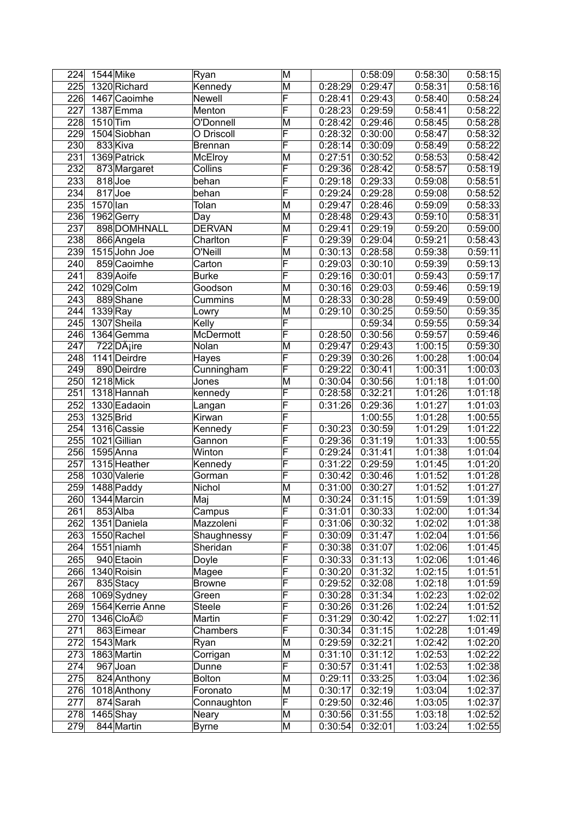| 224 | 1544 Mike        |                         | Ryan           | M                       |         | 0:58:09 | 0:58:30 | 0:58:15 |
|-----|------------------|-------------------------|----------------|-------------------------|---------|---------|---------|---------|
| 225 |                  | 1320 Richard            | Kennedy        | $\overline{\mathsf{M}}$ | 0:28:29 | 0:29:47 | 0:58:31 | 0:58:16 |
| 226 |                  | 1467 Caoimhe            | <b>Newell</b>  | F                       | 0:28:41 | 0:29:43 | 0:58:40 | 0:58:24 |
| 227 |                  | 1387 Emma               | Menton         | F                       | 0:28:23 | 0:29:59 | 0:58:41 | 0:58:22 |
| 228 | 1510 Tim         |                         | O'Donnell      | M                       | 0:28:42 | 0:29:46 | 0:58:45 | 0:58:28 |
| 229 |                  | 1504 Siobhan            | O Driscoll     | $\overline{\mathsf{F}}$ | 0:28:32 | 0:30:00 | 0:58:47 | 0:58:32 |
| 230 |                  | 833 Kiva                | <b>Brennan</b> | $\overline{\mathsf{F}}$ | 0:28:14 | 0:30:09 | 0:58:49 | 0:58:22 |
| 231 |                  | 1369 Patrick            | McElroy        | M                       | 0:27:51 | 0:30:52 | 0:58:53 | 0:58:42 |
| 232 |                  | 873 Margaret            | Collins        | F                       | 0:29:36 | 0:28:42 | 0:58:57 | 0:58:19 |
| 233 | $818$ Joe        |                         | behan          | F                       | 0:29:18 | 0:29:33 | 0:59:08 | 0:58:51 |
| 234 | 817Joe           |                         | behan          | F                       | 0:29:24 | 0:29:28 | 0:59:08 | 0:58:52 |
| 235 | 1570 lan         |                         | Tolan          | M                       | 0:29:47 | 0:28:46 | 0:59:09 | 0:58:33 |
| 236 |                  | 1962 Gerry              | Day            | M                       | 0:28:48 | 0:29:43 | 0:59:10 | 0:58:31 |
| 237 |                  | 898 DOMHNALL            | <b>DERVAN</b>  | M                       | 0:29:41 | 0:29:19 | 0:59:20 | 0:59:00 |
| 238 |                  | 866 Angela              | Charlton       | F                       | 0:29:39 | 0:29:04 | 0:59:21 | 0:58:43 |
| 239 |                  | 1515 John Joe           | O'Neill        | M                       | 0:30:13 | 0:28:58 | 0:59:38 | 0:59:11 |
| 240 |                  | 859 Caoimhe             | Carton         | F                       | 0:29:03 | 0:30:10 | 0:59:39 | 0:59:13 |
| 241 |                  | 839 Aoife               | <b>Burke</b>   | F                       | 0:29:16 | 0:30:01 | 0:59:43 | 0:59:17 |
| 242 |                  | 1029 Colm               | Goodson        | M                       | 0:30:16 | 0:29:03 | 0:59:46 | 0:59:19 |
| 243 |                  | 889Shane                | Cummins        | M                       | 0:28:33 | 0:30:28 | 0:59:49 | 0:59:00 |
| 244 | 1339 Ray         |                         | Lowry          | $\overline{\mathsf{M}}$ | 0:29:10 | 0:30:25 | 0:59:50 | 0:59:35 |
| 245 |                  | 1307 Sheila             | Kelly          | F                       |         | 0:59:34 | 0:59:55 | 0:59:34 |
| 246 |                  | 1364 Gemma              | McDermott      | $\overline{\mathsf{F}}$ | 0:28:50 | 0:30:56 | 0:59:57 | 0:59:46 |
| 247 |                  | 722 DÂ <sub>i</sub> ire | Nolan          | M                       | 0:29:47 | 0:29:43 | 1:00:15 | 0:59:30 |
| 248 |                  | 1141 Deirdre            | Hayes          | $\overline{\mathsf{F}}$ | 0:29:39 | 0:30:26 | 1:00:28 | 1:00:04 |
| 249 |                  | 890 Deirdre             | Cunningham     | $\overline{\mathsf{F}}$ | 0:29:22 | 0:30:41 | 1:00:31 | 1:00:03 |
| 250 | <b>1218 Mick</b> |                         | Jones          | M                       | 0:30:04 | 0:30:56 | 1:01:18 | 1:01:00 |
| 251 |                  | 1318 Hannah             | kennedy        | F                       | 0:28:58 | 0:32:21 | 1:01:26 | 1:01:18 |
| 252 |                  | 1330 Eadaoin            | Langan         | F                       | 0:31:26 | 0:29:36 | 1:01:27 | 1:01:03 |
| 253 | 1325 Brid        |                         | Kirwan         | F                       |         | 1:00:55 | 1:01:28 | 1:00:55 |
| 254 |                  | 1316 Cassie             | Kennedy        | F                       | 0:30:23 | 0:30:59 | 1:01:29 | 1:01:22 |
| 255 |                  | 1021 Gillian            | Gannon         | F                       | 0:29:36 | 0:31:19 | 1:01:33 | 1:00:55 |
| 256 |                  | 1595 Anna               | Winton         | F                       | 0:29:24 | 0:31:41 | 1:01:38 | 1:01:04 |
| 257 |                  | 1315 Heather            | Kennedy        | F                       | 0:31:22 | 0:29:59 | 1:01:45 | 1:01:20 |
| 258 |                  | 1030 Valerie            | Gorman         | F                       | 0:30:42 | 0:30:46 | 1:01:52 | 1:01:28 |
| 259 |                  | 1488 Paddy              | Nichol         | M                       | 0:31:00 | 0:30:27 | 1:01:52 | 1:01:27 |
| 260 |                  | 1344 Marcin             | Maj            | M                       | 0:30:24 | 0:31:15 | 1:01:59 | 1:01:39 |
| 261 |                  | 853 Alba                | Campus         | F                       | 0:31:01 | 0:30:33 | 1:02:00 | 1:01:34 |
| 262 |                  | 1351 Daniela            | Mazzoleni      | $\overline{\mathsf{F}}$ | 0:31:06 | 0:30:32 | 1:02:02 | 1:01:38 |
| 263 |                  | 1550 Rachel             | Shaughnessy    | F                       | 0:30:09 | 0:31:47 | 1:02:04 | 1:01:56 |
| 264 |                  | $1551$  niamh           | Sheridan       | $\overline{\mathsf{F}}$ | 0:30:38 | 0:31:07 | 1:02:06 | 1:01:45 |
| 265 |                  | 940 Etaoin              | Doyle          | F                       | 0:30:33 | 0:31:13 | 1:02:06 | 1:01:46 |
| 266 |                  | 1340 Roisin             | Magee          | F                       | 0:30:20 | 0:31:32 | 1:02:15 | 1:01:51 |
| 267 |                  | 835 Stacy               | <b>Browne</b>  | F                       | 0:29:52 | 0:32:08 | 1:02:18 | 1:01:59 |
| 268 |                  | 1069 Sydney             | Green          | F                       | 0:30:28 | 0:31:34 | 1:02:23 | 1:02:02 |
| 269 |                  | 1564 Kerrie Anne        | Steele         | F                       | 0:30:26 | 0:31:26 | 1:02:24 | 1:01:52 |
| 270 |                  | 1346 Cloé               | Martin         | F                       | 0:31:29 | 0:30:42 | 1:02:27 | 1:02:11 |
| 271 |                  | 863 Eimear              | Chambers       | F                       | 0:30:34 | 0:31:15 | 1:02:28 | 1:01:49 |
| 272 |                  | $1543$ Mark             | Ryan           | M                       | 0:29:59 | 0:32:21 | 1:02:42 | 1:02:20 |
| 273 |                  | 1863 Martin             | Corrigan       | M                       | 0:31:10 | 0:31:12 | 1:02:53 | 1:02:22 |
| 274 |                  | 967 Joan                | Dunne          | $\overline{\mathsf{F}}$ | 0:30:57 | 0:31:41 | 1:02:53 | 1:02:38 |
| 275 |                  | 824 Anthony             | <b>Bolton</b>  | $\overline{\mathsf{M}}$ | 0:29:11 | 0:33:25 | 1:03:04 | 1:02:36 |
| 276 |                  | 1018 Anthony            | Foronato       | M                       | 0:30:17 | 0:32:19 | 1:03:04 | 1:02:37 |
| 277 |                  | 874 Sarah               | Connaughton    | $\overline{\mathsf{F}}$ | 0:29:50 | 0:32:46 | 1:03:05 | 1:02:37 |
| 278 |                  | $1465$ Shay             | Neary          | M                       | 0:30:56 | 0:31:55 | 1:03:18 | 1:02:52 |
| 279 |                  | 844 Martin              | <b>Byrne</b>   | $\overline{\mathsf{M}}$ | 0:30:54 | 0:32:01 | 1:03:24 | 1:02:55 |